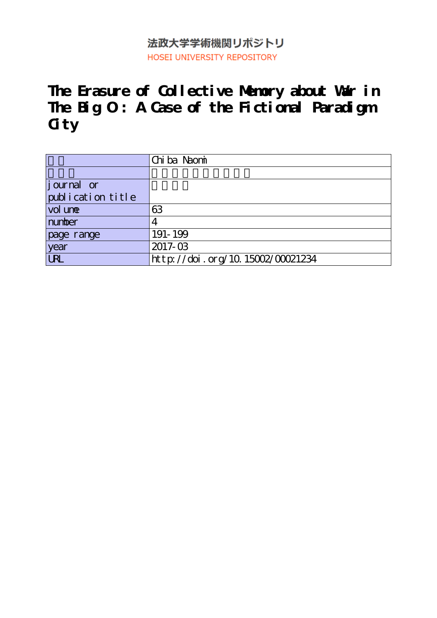## 法政大学学術機関リポジトリ HOSEI UNIVERSITY REPOSITORY

**The Erasure of Collective Memory about War in The Big O : A Case of the Fictional Paradigm City**

|                             | Chi ba Naomi                     |
|-----------------------------|----------------------------------|
|                             |                                  |
| $\left  \right $ journal or |                                  |
| publication title           |                                  |
| vol une                     | 63                               |
| number                      |                                  |
| page range                  | 191-199                          |
| year                        | 2017-03                          |
| <b>URL</b>                  | http://doi.org/10.15002/00021234 |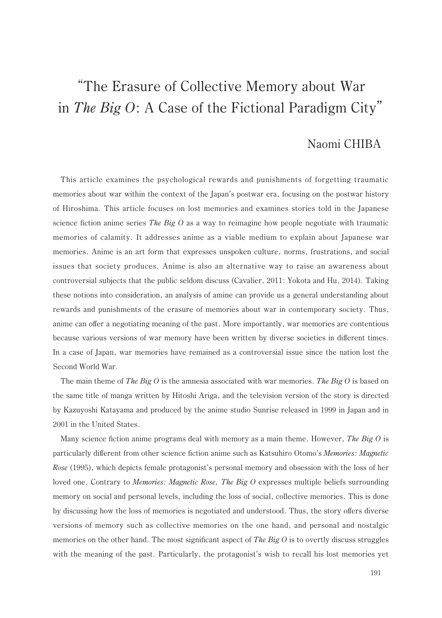# "The Erasure of Collective Memory about War in The Big  $O: A$  Case of the Fictional Paradigm City"

### Naomi CHIBA

This article examines the psychological rewards and punishments of forgetting traumatic memories about war within the context of the Japan's postwar era, focusing on the postwar history of Hiroshima. This article focuses on lost memories and examines stories told in the Japanese science fiction anime series *The Big O* as a way to reimagine how people negotiate with traumatic memories of calamity. It addresses anime as a viable medium to explain about Japanese war memories. Anime is an art form that expresses unspoken culture, norms, frustrations, and social issues that society produces. Anime is also an alternative way to raise an awareness about controversial subjects that the public seldom discuss (Cavalier, 2011: Yokota and Hu, 2014). Taking these notions into consideration, an analysis of amine can provide us a general understanding about rewards and punishments of the erasure of memories about war in contemporary society. Thus, anime can offer a negotiating meaning of the past. More importantly, war memories are contentious because various versions of war memory have been written by diverse societies in different times. In a case of Japan, war memories have remained as a controversial issue since the nation lost the Second World War.

The main theme of The Big O is the amnesia associated with war memories. The Big O is based on the same title of manga written by Hitoshi Ariga, and the television version of the story is directed by Kazuvoshi Katavama and produced by the anime studio Sunrise released in 1999 in Japan and in 2001 in the United States.

Many science fiction anime programs deal with memory as a main theme. However, The Big O is particularly different from other science fiction anime such as Katsuhiro Otomo's Memories: Magnetic Rose (1995), which depicts female protagonist's personal memory and obsession with the loss of her loved one. Contrary to *Memories: Magnetic Rose, The Big O* expresses multiple beliefs surrounding memory on social and personal levels, including the loss of social, collective memories. This is done by discussing how the loss of memories is negotiated and understood. Thus, the story offers diverse versions of memory such as collective memories on the one hand, and personal and nostalgic memories on the other hand. The most significant aspect of The Big  $\hat{O}$  is to overtly discuss struggles with the meaning of the past. Particularly, the protagonist's wish to recall his lost memories yet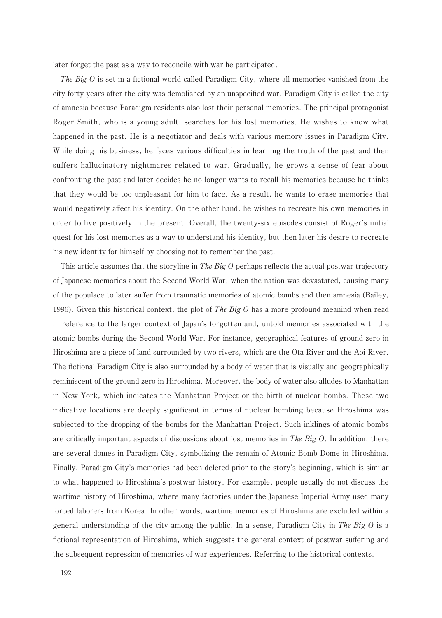later forget the past as a way to reconcile with war he participated.

The Big O is set in a fictional world called Paradigm City, where all memories vanished from the city forty years after the city was demolished by an unspecified war. Paradigm City is called the city of amnesia because Paradigm residents also lost their personal memories. The principal protagonist Roger Smith, who is a young adult, searches for his lost memories. He wishes to know what happened in the past. He is a negotiator and deals with various memory issues in Paradigm City. While doing his business, he faces various difficulties in learning the truth of the past and then suffers hallucinatory nightmares related to war. Gradually, he grows a sense of fear about confronting the past and later decides he no longer wants to recall his memories because he thinks that they would be too unpleasant for him to face. As a result, he wants to erase memories that would negatively affect his identity. On the other hand, he wishes to recreate his own memories in order to live positively in the present. Overall, the twenty-six episodes consist of Roger's initial quest for his lost memories as a way to understand his identity, but then later his desire to recreate his new identity for himself by choosing not to remember the past.

This article assumes that the storyline in The Big  $O$  perhaps reflects the actual postwar trajectory of Japanese memories about the Second World War, when the nation was devastated, causing many of the populace to later suffer from traumatic memories of atomic bombs and then amnesia (Bailey, 1996). Given this historical context, the plot of *The Big O* has a more profound meaning when read in reference to the larger context of Japan's forgotten and, untold memories associated with the atomic bombs during the Second World War. For instance, geographical features of ground zero in Hiroshima are a piece of land surrounded by two rivers, which are the Ota River and the Aoi River. The fictional Paradigm City is also surrounded by a body of water that is visually and geographically reminiscent of the ground zero in Hiroshima. Moreover, the body of water also alludes to Manhattan in New York, which indicates the Manhattan Project or the birth of nuclear bombs. These two indicative locations are deeply significant in terms of nuclear bombing because Hiroshima was subjected to the dropping of the bombs for the Manhattan Project. Such inklings of atomic bombs are critically important aspects of discussions about lost memories in The Big  $O$ . In addition, there are several domes in Paradigm City, symbolizing the remain of Atomic Bomb Dome in Hiroshima. Finally, Paradigm City's memories had been deleted prior to the story's beginning, which is similar to what happened to Hiroshima's postwar history. For example, people usually do not discuss the wartime history of Hiroshima, where many factories under the Japanese Imperial Army used many forced laborers from Korea. In other words, wartime memories of Hiroshima are excluded within a general understanding of the city among the public. In a sense, Paradigm City in The Big O is a fictional representation of Hiroshima, which suggests the general context of postwar suffering and the subsequent repression of memories of war experiences. Referring to the historical contexts.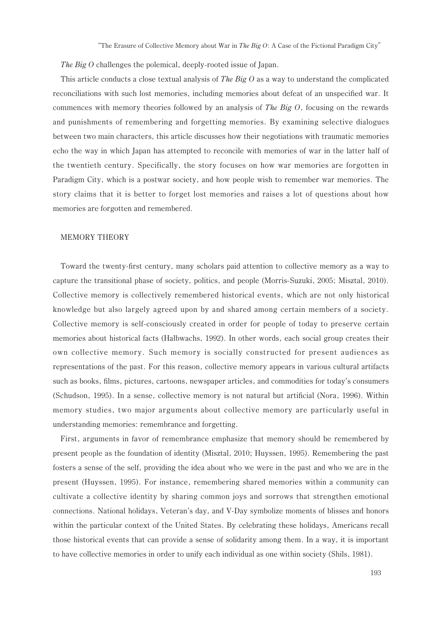The Big  $O$  challenges the polemical, deeply-rooted issue of Japan.

This article conducts a close textual analysis of *The Big O* as a way to understand the complicated reconciliations with such lost memories, including memories about defeat of an unspecified war. It commences with memory theories followed by an analysis of *The Big O*, focusing on the rewards and punishments of remembering and forgetting memories. By examining selective dialogues between two main characters, this article discusses how their negotiations with traumatic memories echo the way in which Japan has attempted to reconcile with memories of war in the latter half of the twentieth century. Specifically, the story focuses on how war memories are forgotten in Paradigm City, which is a postwar society, and how people wish to remember war memories. The story claims that it is better to forget lost memories and raises a lot of questions about how memories are forgotten and remembered.

#### **MEMORY THEORY**

Toward the twenty-first century, many scholars paid attention to collective memory as a way to capture the transitional phase of society, politics, and people (Morris-Suzuki, 2005; Misztal, 2010). Collective memory is collectively remembered historical events, which are not only historical knowledge but also largely agreed upon by and shared among certain members of a society. Collective memory is self-consciously created in order for people of today to preserve certain memories about historical facts (Halbwachs, 1992). In other words, each social group creates their own collective memory. Such memory is socially constructed for present audiences as representations of the past. For this reason, collective memory appears in various cultural artifacts such as books, films, pictures, cartoons, newspaper articles, and commodities for today's consumers (Schudson, 1995). In a sense, collective memory is not natural but artificial (Nora, 1996). Within memory studies, two major arguments about collective memory are particularly useful in understanding memories: remembrance and forgetting.

First, arguments in favor of remembrance emphasize that memory should be remembered by present people as the foundation of identity (Misztal, 2010; Huyssen, 1995). Remembering the past fosters a sense of the self, providing the idea about who we were in the past and who we are in the present (Huyssen, 1995). For instance, remembering shared memories within a community can cultivate a collective identity by sharing common joys and sorrows that strengthen emotional connections. National holidays, Veteran's day, and V-Day symbolize moments of blisses and honors within the particular context of the United States. By celebrating these holidays, Americans recall those historical events that can provide a sense of solidarity among them. In a way, it is important to have collective memories in order to unify each individual as one within society (Shils, 1981).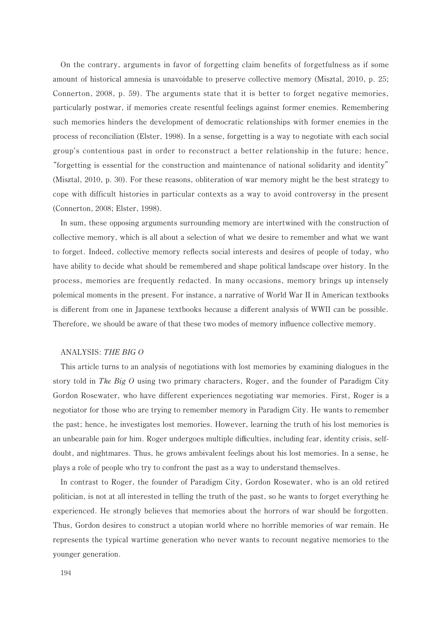On the contrary, arguments in favor of forgetting claim benefits of forgetfulness as if some amount of historical amnesia is unavoidable to preserve collective memory (Misztal, 2010, p. 25; Connerton, 2008, p. 59). The arguments state that it is better to forget negative memories, particularly postwar, if memories create resentful feelings against former enemies. Remembering such memories hinders the development of democratic relationships with former enemies in the process of reconciliation (Elster, 1998). In a sense, forgetting is a way to negotiate with each social group's contentious past in order to reconstruct a better relationship in the future; hence, "forgetting is essential for the construction and maintenance of national solidarity and identity" (Misztal, 2010, p. 30). For these reasons, obliteration of war memory might be the best strategy to cope with difficult histories in particular contexts as a way to avoid controversy in the present (Connerton, 2008; Elster, 1998).

In sum, these opposing arguments surrounding memory are intertwined with the construction of collective memory, which is all about a selection of what we desire to remember and what we want to forget. Indeed, collective memory reflects social interests and desires of people of today, who have ability to decide what should be remembered and shape political landscape over history. In the process, memories are frequently redacted. In many occasions, memory brings up intensely polemical moments in the present. For instance, a narrative of World War II in American textbooks is different from one in Japanese textbooks because a different analysis of WWII can be possible. Therefore, we should be aware of that these two modes of memory influence collective memory.

#### ANALYSIS: THE BIG O

This article turns to an analysis of negotiations with lost memories by examining dialogues in the story told in The Big O using two primary characters, Roger, and the founder of Paradigm City Gordon Rosewater, who have different experiences negotiating war memories. First, Roger is a negotiator for those who are trying to remember memory in Paradigm City. He wants to remember the past; hence, he investigates lost memories. However, learning the truth of his lost memories is an unbearable pain for him. Roger undergoes multiple difficulties, including fear, identity crisis, selfdoubt, and nightmares. Thus, he grows ambivalent feelings about his lost memories. In a sense, he plays a role of people who try to confront the past as a way to understand themselves.

In contrast to Roger, the founder of Paradigm City, Gordon Rosewater, who is an old retired politician, is not at all interested in telling the truth of the past, so he wants to forget everything he experienced. He strongly believes that memories about the horrors of war should be forgotten. Thus, Gordon desires to construct a utopian world where no horrible memories of war remain. He represents the typical wartime generation who never wants to recount negative memories to the vounger generation.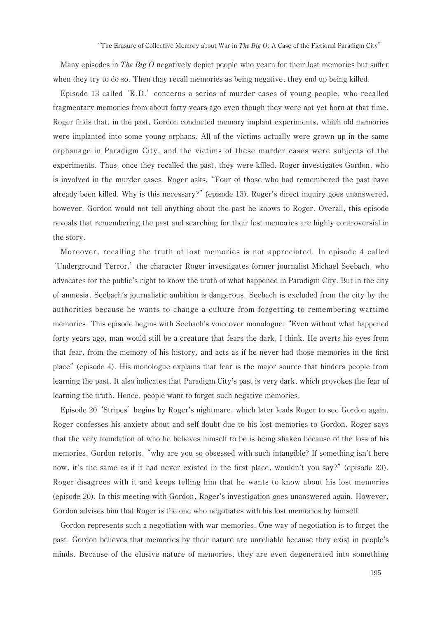Many episodes in The Big O negatively depict people who yearn for their lost memories but suffer when they try to do so. Then thay recall memories as being negative, they end up being killed.

Episode 13 called 'R.D.' concerns a series of murder cases of young people, who recalled fragmentary memories from about forty years ago even though they were not yet born at that time. Roger finds that, in the past, Gordon conducted memory implant experiments, which old memories were implanted into some young orphans. All of the victims actually were grown up in the same orphanage in Paradigm City, and the victims of these murder cases were subjects of the experiments. Thus, once they recalled the past, they were killed. Roger investigates Gordon, who is involved in the murder cases. Roger asks, "Four of those who had remembered the past have already been killed. Why is this necessary?" (episode 13). Roger's direct inquiry goes unanswered, however. Gordon would not tell anything about the past he knows to Roger. Overall, this episode reveals that remembering the past and searching for their lost memories are highly controversial in the story.

Moreover, recalling the truth of lost memories is not appreciated. In episode 4 called 'Underground Terror,' the character Roger investigates former journalist Michael Seebach, who advocates for the public's right to know the truth of what happened in Paradigm City. But in the city of amnesia, Seebach's journalistic ambition is dangerous. Seebach is excluded from the city by the authorities because he wants to change a culture from forgetting to remembering wartime memories. This episode begins with Seebach's voiceover monologue; "Even without what happened forty years ago, man would still be a creature that fears the dark, I think. He averts his eyes from that fear, from the memory of his history, and acts as if he never had those memories in the first place" (episode 4). His monologue explains that fear is the major source that hinders people from learning the past. It also indicates that Paradigm City's past is very dark, which provokes the fear of learning the truth. Hence, people want to forget such negative memories.

Episode 20 'Stripes' begins by Roger's nightmare, which later leads Roger to see Gordon again. Roger confesses his anxiety about and self-doubt due to his lost memories to Gordon. Roger says that the very foundation of who he believes himself to be is being shaken because of the loss of his memories. Gordon retorts, "why are you so obsessed with such intangible? If something isn't here now, it's the same as if it had never existed in the first place, wouldn't you say?" (episode 20). Roger disagrees with it and keeps telling him that he wants to know about his lost memories (episode 20). In this meeting with Gordon, Roger's investigation goes unanswered again. However, Gordon advises him that Roger is the one who negotiates with his lost memories by himself.

Gordon represents such a negotiation with war memories. One way of negotiation is to forget the past. Gordon believes that memories by their nature are unreliable because they exist in people's minds. Because of the elusive nature of memories, they are even degenerated into something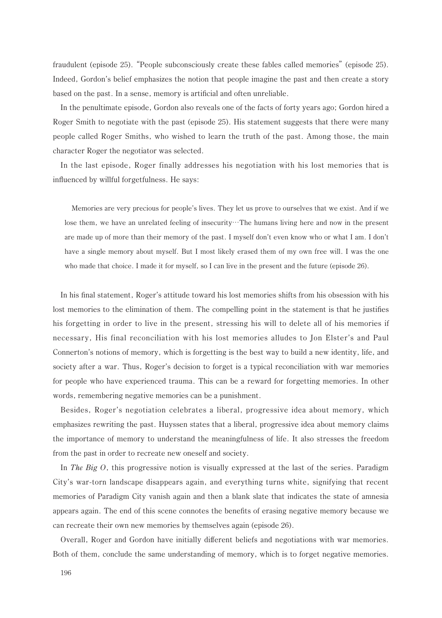fraudulent (episode 25). "People subconsciously create these fables called memories" (episode 25). Indeed, Gordon's belief emphasizes the notion that people imagine the past and then create a story based on the past. In a sense, memory is artificial and often unreliable.

In the penultimate episode, Gordon also reveals one of the facts of forty years ago; Gordon hired a Roger Smith to negotiate with the past (episode 25). His statement suggests that there were many people called Roger Smiths, who wished to learn the truth of the past. Among those, the main character Roger the negotiator was selected.

In the last episode, Roger finally addresses his negotiation with his lost memories that is influenced by willful forgetfulness. He says:

Memories are very precious for people's lives. They let us prove to ourselves that we exist. And if we lose them, we have an unrelated feeling of insecurity. The humans living here and now in the present are made up of more than their memory of the past. I myself don't even know who or what I am. I don't have a single memory about myself. But I most likely erased them of my own free will. I was the one who made that choice. I made it for myself, so I can live in the present and the future (episode 26).

In his final statement, Roger's attitude toward his lost memories shifts from his obsession with his lost memories to the elimination of them. The compelling point in the statement is that he justifies his forgetting in order to live in the present, stressing his will to delete all of his memories if necessary, His final reconciliation with his lost memories alludes to Jon Elster's and Paul Connerton's notions of memory, which is forgetting is the best way to build a new identity, life, and society after a war. Thus, Roger's decision to forget is a typical reconciliation with war memories for people who have experienced trauma. This can be a reward for forgetting memories. In other words, remembering negative memories can be a punishment.

Besides, Roger's negotiation celebrates a liberal, progressive idea about memory, which emphasizes rewriting the past. Huyssen states that a liberal, progressive idea about memory claims the importance of memory to understand the meaningfulness of life. It also stresses the freedom from the past in order to recreate new oneself and society.

In The Big  $O$ , this progressive notion is visually expressed at the last of the series. Paradigm City's war-torn landscape disappears again, and everything turns white, signifying that recent memories of Paradigm City vanish again and then a blank slate that indicates the state of amnesia appears again. The end of this scene connotes the benefits of erasing negative memory because we can recreate their own new memories by themselves again (episode 26).

Overall, Roger and Gordon have initially different beliefs and negotiations with war memories. Both of them, conclude the same understanding of memory, which is to forget negative memories.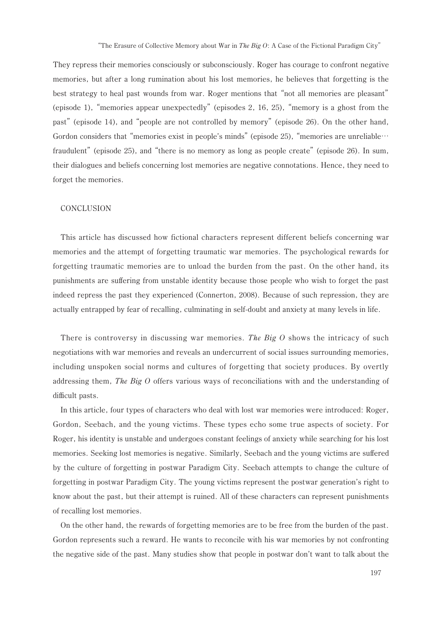They repress their memories consciously or subconsciously. Roger has courage to confront negative memories, but after a long rumination about his lost memories, he believes that forgetting is the best strategy to heal past wounds from war. Roger mentions that "not all memories are pleasant" (episode 1), "memories appear unexpectedly" (episodes 2, 16, 25), "memory is a ghost from the past" (episode 14), and "people are not controlled by memory" (episode 26). On the other hand, Gordon considers that "memories exist in people's minds" (episode 25), "memories are unreliable... fraudulent" (episode 25), and "there is no memory as long as people create" (episode 26). In sum, their dialogues and beliefs concerning lost memories are negative connotations. Hence, they need to forget the memories.

#### **CONCLUSION**

This article has discussed how fictional characters represent different beliefs concerning war memories and the attempt of forgetting traumatic war memories. The psychological rewards for forgetting traumatic memories are to unload the burden from the past. On the other hand, its punishments are suffering from unstable identity because those people who wish to forget the past indeed repress the past they experienced (Connerton, 2008). Because of such repression, they are actually entrapped by fear of recalling, culminating in self-doubt and anxiety at many levels in life.

There is controversy in discussing war memories. The Big  $O$  shows the intricacy of such negotiations with war memories and reveals an undercurrent of social issues surrounding memories, including unspoken social norms and cultures of forgetting that society produces. By overtly addressing them, The Big  $O$  offers various ways of reconciliations with and the understanding of difficult pasts.

In this article, four types of characters who deal with lost war memories were introduced: Roger, Gordon, Seebach, and the young victims. These types echo some true aspects of society. For Roger, his identity is unstable and undergoes constant feelings of anxiety while searching for his lost memories. Seeking lost memories is negative. Similarly, Seebach and the young victims are suffered by the culture of forgetting in postwar Paradigm City. Seebach attempts to change the culture of forgetting in postwar Paradigm City. The young victims represent the postwar generation's right to know about the past, but their attempt is ruined. All of these characters can represent punishments of recalling lost memories.

On the other hand, the rewards of forgetting memories are to be free from the burden of the past. Gordon represents such a reward. He wants to reconcile with his war memories by not confronting the negative side of the past. Many studies show that people in postwar don't want to talk about the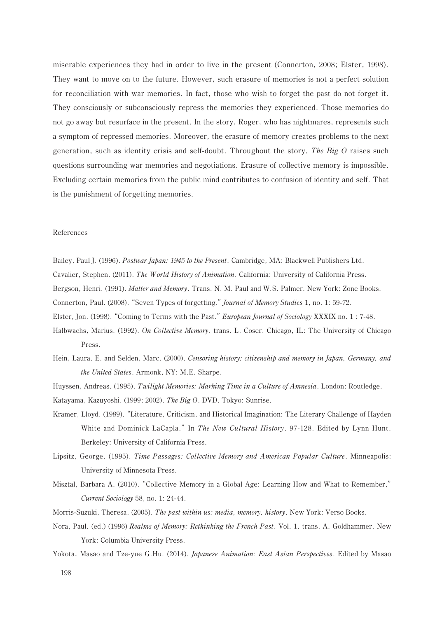miserable experiences they had in order to live in the present (Connerton, 2008; Elster, 1998). They want to move on to the future. However, such erasure of memories is not a perfect solution for reconciliation with war memories. In fact, those who wish to forget the past do not forget it. They consciously or subconsciously repress the memories they experienced. Those memories do not go away but resurface in the present. In the story, Roger, who has nightmares, represents such a symptom of repressed memories. Moreover, the erasure of memory creates problems to the next generation, such as identity crisis and self-doubt. Throughout the story, The Big O raises such questions surrounding war memories and negotiations. Erasure of collective memory is impossible. Excluding certain memories from the public mind contributes to confusion of identity and self. That is the punishment of forgetting memories.

#### References

Bailey, Paul J. (1996). Postwar Japan: 1945 to the Present. Cambridge, MA: Blackwell Publishers Ltd.

Cavalier, Stephen. (2011). The World History of Animation. California: University of California Press.

- Bergson, Henri. (1991). Matter and Memory. Trans. N. M. Paul and W.S. Palmer. New York: Zone Books.
- Connerton, Paul. (2008). "Seven Types of forgetting." *Journal of Memory Studies* 1, no. 1: 59-72.
- Elster, Jon. (1998). "Coming to Terms with the Past." European Journal of Sociology XXXIX no. 1: 7-48.
- Halbwachs, Marius. (1992). On Collective Memory. trans. L. Coser. Chicago, IL: The University of Chicago Press.
- Hein, Laura, E. and Selden, Marc. (2000). Censoring history: citizenship and memory in Japan, Germany, and the United States. Armonk, NY: M.E. Sharpe.
- Huyssen, Andreas. (1995). Twilight Memories: Marking Time in a Culture of Amnesia. London: Routledge.
- Katayama, Kazuyoshi. (1999; 2002). The Big O. DVD. Tokyo: Sunrise.
- Kramer, Lloyd. (1989). "Literature, Criticism, and Historical Imagination: The Literary Challenge of Hayden White and Dominick LaCapla." In The New Cultural History. 97-128. Edited by Lynn Hunt. Berkeley: University of California Press.
- Lipsitz, George. (1995). Time Passages: Collective Memory and American Popular Culture. Minneapolis: University of Minnesota Press.
- Misztal, Barbara A. (2010). "Collective Memory in a Global Age: Learning How and What to Remember," Current Sociology 58, no. 1: 24-44.

Morris-Suzuki, Theresa. (2005). The past within us: media, memory, history. New York: Verso Books.

- Nora, Paul. (ed.) (1996) Realms of Memory: Rethinking the French Past. Vol. 1. trans. A. Goldhammer. New York: Columbia University Press.
- Yokota, Masao and Tze-yue G.Hu. (2014). Japanese Animation: East Asian Perspectives. Edited by Masao